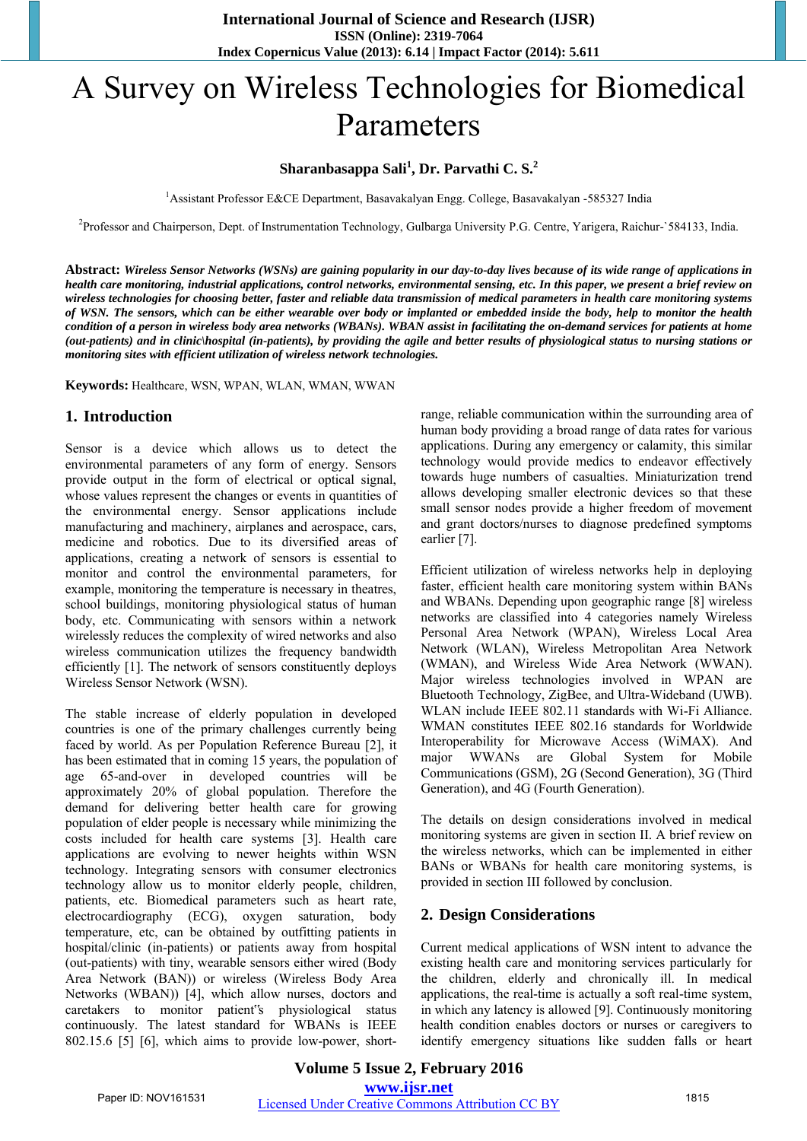# A Survey on Wireless Technologies for Biomedical Parameters

# **Sharanbasappa Sali<sup>1</sup> , Dr. Parvathi C. S.<sup>2</sup>**

<sup>1</sup>Assistant Professor E&CE Department, Basavakalyan Engg. College, Basavakalyan -585327 India

<sup>2</sup>Professor and Chairperson, Dept. of Instrumentation Technology, Gulbarga University P.G. Centre, Yarigera, Raichur-`584133, India.

**Abstract:** *Wireless Sensor Networks (WSNs) are gaining popularity in our day-to-day lives because of its wide range of applications in health care monitoring, industrial applications, control networks, environmental sensing, etc. In this paper, we present a brief review on wireless technologies for choosing better, faster and reliable data transmission of medical parameters in health care monitoring systems of WSN. The sensors, which can be either wearable over body or implanted or embedded inside the body, help to monitor the health condition of a person in wireless body area networks (WBANs). WBAN assist in facilitating the on-demand services for patients at home (out-patients) and in clinic\hospital (in-patients), by providing the agile and better results of physiological status to nursing stations or monitoring sites with efficient utilization of wireless network technologies.*

**Keywords:** Healthcare, WSN, WPAN, WLAN, WMAN, WWAN

# **1. Introduction**

Sensor is a device which allows us to detect the environmental parameters of any form of energy. Sensors provide output in the form of electrical or optical signal, whose values represent the changes or events in quantities of the environmental energy. Sensor applications include manufacturing and machinery, airplanes and aerospace, cars, medicine and robotics. Due to its diversified areas of applications, creating a network of sensors is essential to monitor and control the environmental parameters, for example, monitoring the temperature is necessary in theatres, school buildings, monitoring physiological status of human body, etc. Communicating with sensors within a network wirelessly reduces the complexity of wired networks and also wireless communication utilizes the frequency bandwidth efficiently [1]. The network of sensors constituently deploys Wireless Sensor Network (WSN).

The stable increase of elderly population in developed countries is one of the primary challenges currently being faced by world. As per Population Reference Bureau [2], it has been estimated that in coming 15 years, the population of age 65-and-over in developed countries will be approximately 20% of global population. Therefore the demand for delivering better health care for growing population of elder people is necessary while minimizing the costs included for health care systems [3]. Health care applications are evolving to newer heights within WSN technology. Integrating sensors with consumer electronics technology allow us to monitor elderly people, children, patients, etc. Biomedical parameters such as heart rate, electrocardiography (ECG), oxygen saturation, body temperature, etc, can be obtained by outfitting patients in hospital/clinic (in-patients) or patients away from hospital (out-patients) with tiny, wearable sensors either wired (Body Area Network (BAN)) or wireless (Wireless Body Area Networks (WBAN)) [4], which allow nurses, doctors and caretakers to monitor patient"s physiological status continuously. The latest standard for WBANs is IEEE 802.15.6 [5] [6], which aims to provide low-power, shortrange, reliable communication within the surrounding area of human body providing a broad range of data rates for various applications. During any emergency or calamity, this similar technology would provide medics to endeavor effectively towards huge numbers of casualties. Miniaturization trend allows developing smaller electronic devices so that these small sensor nodes provide a higher freedom of movement and grant doctors/nurses to diagnose predefined symptoms earlier [7].

Efficient utilization of wireless networks help in deploying faster, efficient health care monitoring system within BANs and WBANs. Depending upon geographic range [8] wireless networks are classified into 4 categories namely Wireless Personal Area Network (WPAN), Wireless Local Area Network (WLAN), Wireless Metropolitan Area Network (WMAN), and Wireless Wide Area Network (WWAN). Major wireless technologies involved in WPAN are Bluetooth Technology, ZigBee, and Ultra-Wideband (UWB). WLAN include IEEE 802.11 standards with Wi-Fi Alliance. WMAN constitutes IEEE 802.16 standards for Worldwide Interoperability for Microwave Access (WiMAX). And major WWANs are Global System for Mobile Communications (GSM), 2G (Second Generation), 3G (Third Generation), and 4G (Fourth Generation).

The details on design considerations involved in medical monitoring systems are given in section II. A brief review on the wireless networks, which can be implemented in either BANs or WBANs for health care monitoring systems, is provided in section III followed by conclusion.

# **2. Design Considerations**

Current medical applications of WSN intent to advance the existing health care and monitoring services particularly for the children, elderly and chronically ill. In medical applications, the real-time is actually a soft real-time system, in which any latency is allowed [9]. Continuously monitoring health condition enables doctors or nurses or caregivers to identify emergency situations like sudden falls or heart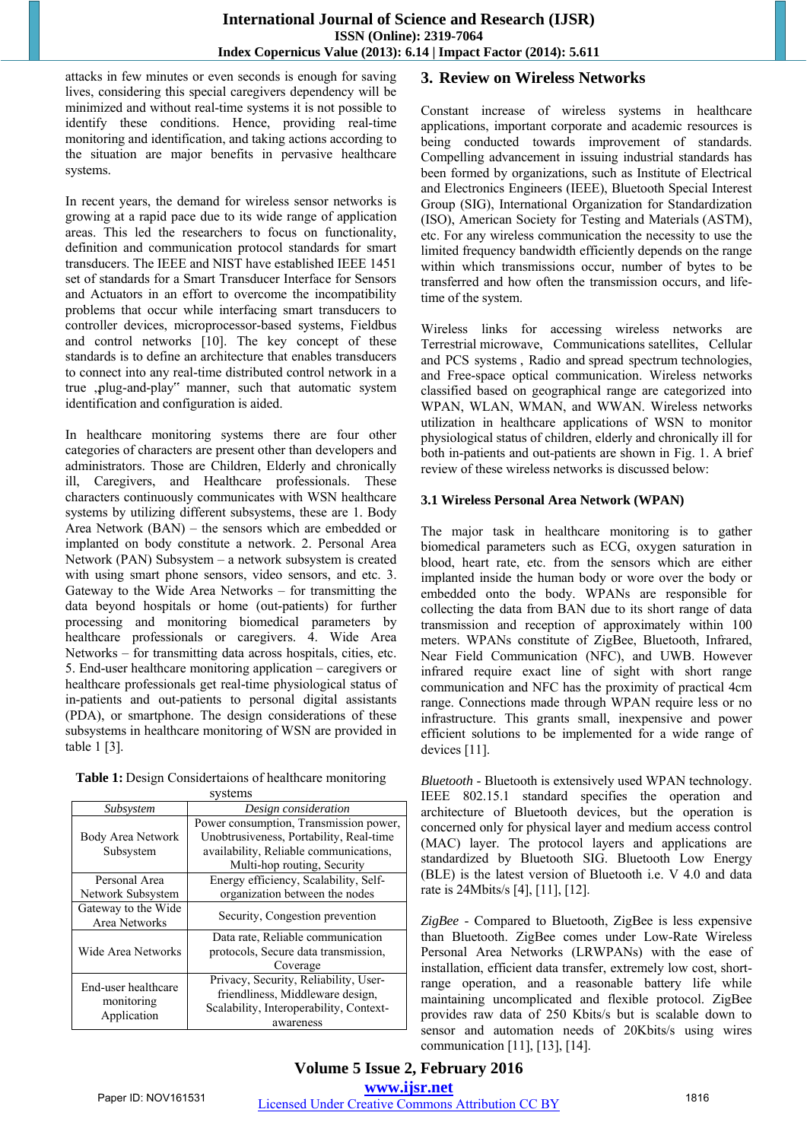attacks in few minutes or even seconds is enough for saving lives, considering this special caregivers dependency will be minimized and without real-time systems it is not possible to identify these conditions. Hence, providing real-time monitoring and identification, and taking actions according to the situation are major benefits in pervasive healthcare systems.

In recent years, the demand for wireless sensor networks is growing at a rapid pace due to its wide range of application areas. This led the researchers to focus on functionality, definition and communication protocol standards for smart transducers. The IEEE and NIST have established IEEE 1451 set of standards for a Smart Transducer Interface for Sensors and Actuators in an effort to overcome the incompatibility problems that occur while interfacing smart transducers to controller devices, microprocessor-based systems, Fieldbus and control networks [10]. The key concept of these standards is to define an architecture that enables transducers to connect into any real-time distributed control network in a true ,plug-and-play" manner, such that automatic system identification and configuration is aided.

In healthcare monitoring systems there are four other categories of characters are present other than developers and administrators. Those are Children, Elderly and chronically ill, Caregivers, and Healthcare professionals. These characters continuously communicates with WSN healthcare systems by utilizing different subsystems, these are 1. Body Area Network (BAN) – the sensors which are embedded or implanted on body constitute a network. 2. Personal Area Network (PAN) Subsystem – a network subsystem is created with using smart phone sensors, video sensors, and etc. 3. Gateway to the Wide Area Networks – for transmitting the data beyond hospitals or home (out-patients) for further processing and monitoring biomedical parameters by healthcare professionals or caregivers. 4. Wide Area Networks – for transmitting data across hospitals, cities, etc. 5. End-user healthcare monitoring application – caregivers or healthcare professionals get real-time physiological status of in-patients and out-patients to personal digital assistants (PDA), or smartphone. The design considerations of these subsystems in healthcare monitoring of WSN are provided in table 1 [3].

| Table 1: Design Considertaions of healthcare monitoring |
|---------------------------------------------------------|
| <i>sveteme</i>                                          |

| эуэксню                                          |                                         |  |  |  |  |  |
|--------------------------------------------------|-----------------------------------------|--|--|--|--|--|
| Subsystem                                        | Design consideration                    |  |  |  |  |  |
|                                                  | Power consumption, Transmission power,  |  |  |  |  |  |
| Body Area Network                                | Unobtrusiveness, Portability, Real-time |  |  |  |  |  |
| Subsystem                                        | availability, Reliable communications,  |  |  |  |  |  |
|                                                  | Multi-hop routing, Security             |  |  |  |  |  |
| Personal Area                                    | Energy efficiency, Scalability, Self-   |  |  |  |  |  |
| Network Subsystem                                | organization between the nodes          |  |  |  |  |  |
| Gateway to the Wide<br>Area Networks             | Security, Congestion prevention         |  |  |  |  |  |
|                                                  | Data rate, Reliable communication       |  |  |  |  |  |
| Wide Area Networks                               | protocols, Secure data transmission,    |  |  |  |  |  |
|                                                  | Coverage                                |  |  |  |  |  |
| End-user healthcare<br>monitoring<br>Application | Privacy, Security, Reliability, User-   |  |  |  |  |  |
|                                                  | friendliness, Middleware design,        |  |  |  |  |  |
|                                                  | Scalability, Interoperability, Context- |  |  |  |  |  |
|                                                  | awareness                               |  |  |  |  |  |

# **3. Review on Wireless Networks**

Constant increase of wireless systems in healthcare applications, important corporate and academic resources is being conducted towards improvement of standards. Compelling advancement in issuing industrial standards has been formed by organizations, such as Institute of Electrical and Electronics Engineers (IEEE), Bluetooth Special Interest Group (SIG), International Organization for Standardization (ISO), American Society for Testing and Materials (ASTM), etc. For any wireless communication the necessity to use the limited frequency bandwidth efficiently depends on the range within which transmissions occur, number of bytes to be transferred and how often the transmission occurs, and lifetime of the system.

Wireless links for accessing wireless networks are Terrestrial [microwave,](http://en.wikipedia.org/wiki/Microwave) Communications [satellites,](http://en.wikipedia.org/wiki/Satellite) Cellular and PCS systems , Radio and [spread spectrum](http://en.wikipedia.org/wiki/Spread_spectrum) technologies, and [Free-space optical communication.](http://en.wikipedia.org/wiki/Free-space_optical_communication) Wireless networks classified based on geographical range are categorized into WPAN, WLAN, WMAN, and WWAN. Wireless networks utilization in healthcare applications of WSN to monitor physiological status of children, elderly and chronically ill for both in-patients and out-patients are shown in Fig. 1. A brief review of these wireless networks is discussed below:

# **3.1 Wireless Personal Area Network (WPAN)**

The major task in healthcare monitoring is to gather biomedical parameters such as ECG, oxygen saturation in blood, heart rate, etc. from the sensors which are either implanted inside the human body or wore over the body or embedded onto the body. WPANs are responsible for collecting the data from BAN due to its short range of data transmission and reception of approximately within 100 meters. WPANs constitute of ZigBee, Bluetooth, Infrared, Near Field Communication (NFC), and UWB. However infrared require exact line of sight with short range communication and NFC has the proximity of practical 4cm range. Connections made through WPAN require less or no infrastructure. This grants small, inexpensive and power efficient solutions to be implemented for a wide range of devices [11].

*Bluetooth* - Bluetooth is extensively used WPAN technology. IEEE 802.15.1 standard specifies the operation and architecture of Bluetooth devices, but the operation is concerned only for physical layer and medium access control (MAC) layer. The protocol layers and applications are standardized by Bluetooth SIG. Bluetooth Low Energy (BLE) is the latest version of Bluetooth i.e. V 4.0 and data rate is 24Mbits/s [4], [11], [12].

*ZigBee* - Compared to Bluetooth, ZigBee is less expensive than Bluetooth. ZigBee comes under Low-Rate Wireless Personal Area Networks (LRWPANs) with the ease of installation, efficient data transfer, extremely low cost, shortrange operation, and a reasonable battery life while maintaining uncomplicated and flexible protocol. ZigBee provides raw data of 250 Kbits/s but is scalable down to sensor and automation needs of 20Kbits/s using wires communication [11], [13], [14].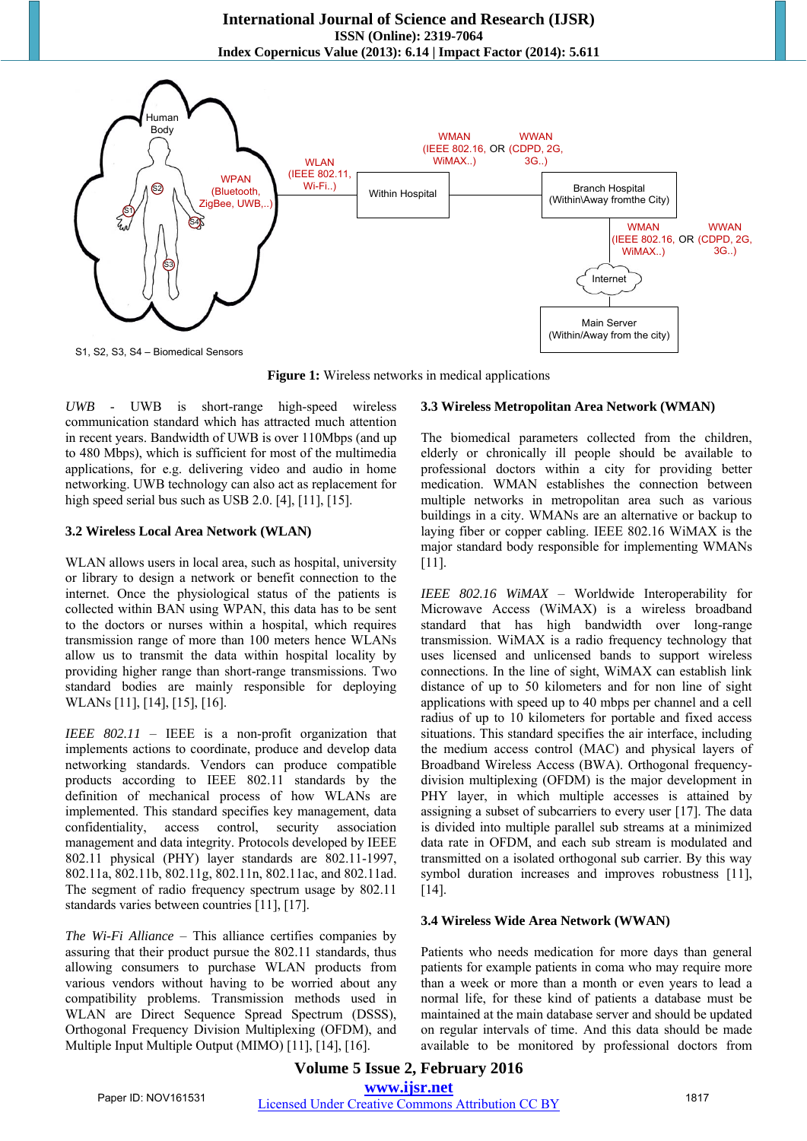

**Figure 1:** Wireless networks in medical applications

*UWB* - UWB is short-range high-speed wireless communication standard which has attracted much attention in recent years. Bandwidth of UWB is over 110Mbps (and up to 480 Mbps), which is sufficient for most of the multimedia applications, for e.g. delivering video and audio in home networking. UWB technology can also act as replacement for high speed serial bus such as USB 2.0. [4], [11], [15].

#### **3.2 Wireless Local Area Network (WLAN)**

WLAN allows users in local area, such as hospital, university or library to design a network or benefit connection to the internet. Once the physiological status of the patients is collected within BAN using WPAN, this data has to be sent to the doctors or nurses within a hospital, which requires transmission range of more than 100 meters hence WLANs allow us to transmit the data within hospital locality by providing higher range than short-range transmissions. Two standard bodies are mainly responsible for deploying WLANs [11], [14], [15], [16].

*IEEE 802.11* – IEEE is a non-profit organization that implements actions to coordinate, produce and develop data networking standards. Vendors can produce compatible products according to IEEE 802.11 standards by the definition of mechanical process of how WLANs are implemented. This standard specifies key management, data confidentiality, access control, security association management and data integrity. Protocols developed by IEEE 802.11 physical (PHY) layer standards are 802.11-1997, 802.11a, 802.11b, 802.11g, 802.11n, 802.11ac, and 802.11ad. The segment of radio frequency spectrum usage by 802.11 standards varies between countries [11], [17].

*The Wi-Fi Alliance* – This alliance certifies companies by assuring that their product pursue the 802.11 standards, thus allowing consumers to purchase WLAN products from various vendors without having to be worried about any compatibility problems. Transmission methods used in WLAN are Direct Sequence Spread Spectrum (DSSS), Orthogonal Frequency Division Multiplexing (OFDM), and Multiple Input Multiple Output (MIMO) [11], [14], [16].

#### **3.3 Wireless Metropolitan Area Network (WMAN)**

The biomedical parameters collected from the children, elderly or chronically ill people should be available to professional doctors within a city for providing better medication. WMAN establishes the connection between multiple networks in metropolitan area such as various buildings in a city. WMANs are an alternative or backup to laying fiber or copper cabling. IEEE 802.16 WiMAX is the major standard body responsible for implementing WMANs [11].

*IEEE 802.16 WiMAX* – Worldwide Interoperability for Microwave Access (WiMAX) is a wireless broadband standard that has high bandwidth over long-range transmission. WiMAX is a radio frequency technology that uses licensed and unlicensed bands to support wireless connections. In the line of sight, WiMAX can establish link distance of up to 50 kilometers and for non line of sight applications with speed up to 40 mbps per channel and a cell radius of up to 10 kilometers for portable and fixed access situations. This standard specifies the air interface, including the medium access control (MAC) and physical layers of Broadband Wireless Access (BWA). Orthogonal frequencydivision multiplexing (OFDM) is the major development in PHY layer, in which multiple accesses is attained by assigning a subset of subcarriers to every user [17]. The data is divided into multiple parallel sub streams at a minimized data rate in OFDM, and each sub stream is modulated and transmitted on a isolated orthogonal sub carrier. By this way symbol duration increases and improves robustness [11], [14].

#### **3.4 Wireless Wide Area Network (WWAN)**

Patients who needs medication for more days than general patients for example patients in coma who may require more than a week or more than a month or even years to lead a normal life, for these kind of patients a database must be maintained at the main database server and should be updated on regular intervals of time. And this data should be made available to be monitored by professional doctors from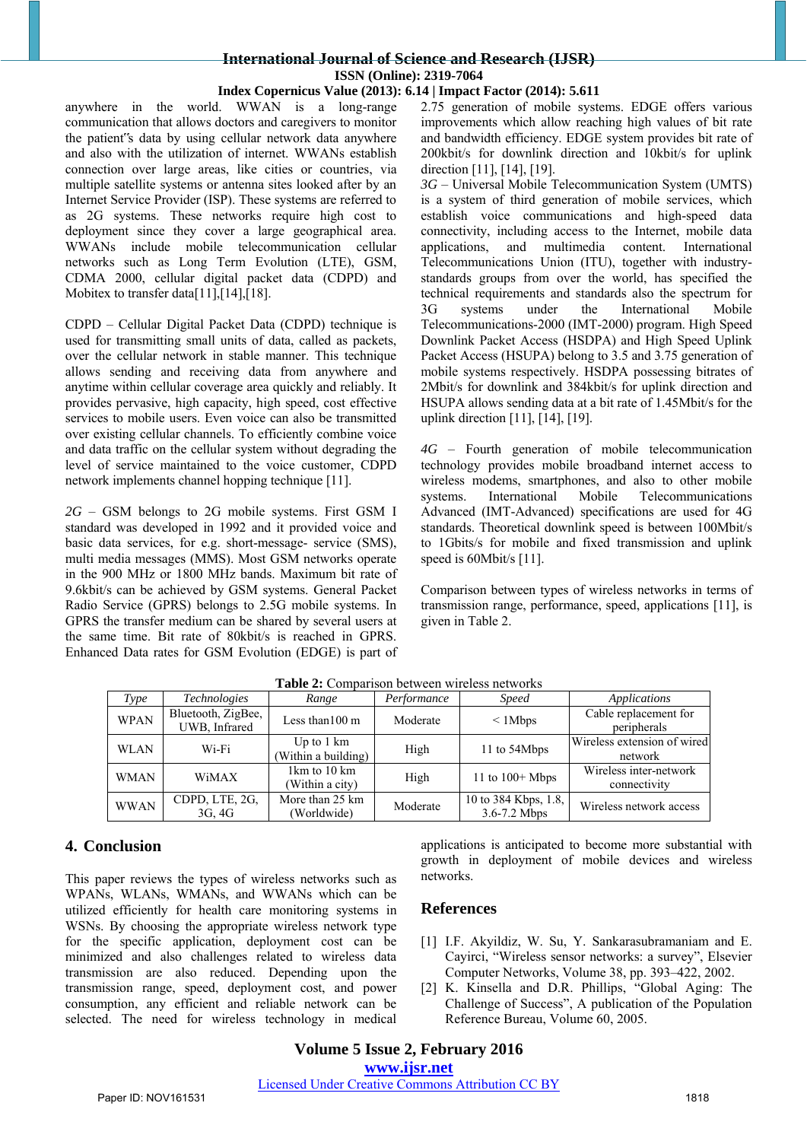# **International Journal of Science and Research (IJSR) ISSN (Online): 2319-7064**

#### **Index Copernicus Value (2013): 6.14 | Impact Factor (2014): 5.611**

anywhere in the world. WWAN is a long-range communication that allows doctors and caregivers to monitor the patient"s data by using cellular network data anywhere and also with the utilization of internet. WWANs establish connection over large areas, like cities or countries, via multiple satellite systems or antenna sites looked after by an Internet Service Provider (ISP). These systems are referred to as 2G systems. These networks require high cost to deployment since they cover a large geographical area. WWANs include mobile telecommunication cellular networks such as Long Term Evolution (LTE), GSM, CDMA 2000, cellular digital packet data (CDPD) and Mobitex to transfer data[11],[14],[18].

CDPD – Cellular Digital Packet Data (CDPD) technique is used for transmitting small units of data, called as packets, over the cellular network in stable manner. This technique allows sending and receiving data from anywhere and anytime within cellular coverage area quickly and reliably. It provides pervasive, high capacity, high speed, cost effective services to mobile users. Even voice can also be transmitted over existing cellular channels. To efficiently combine voice and data traffic on the cellular system without degrading the level of service maintained to the voice customer, CDPD network implements channel hopping technique [11].

*2G* – GSM belongs to 2G mobile systems. First GSM I standard was developed in 1992 and it provided voice and basic data services, for e.g. short-message- service (SMS), multi media messages (MMS). Most GSM networks operate in the 900 MHz or 1800 MHz bands. Maximum bit rate of 9.6kbit/s can be achieved by GSM systems. General Packet Radio Service (GPRS) belongs to 2.5G mobile systems. In GPRS the transfer medium can be shared by several users at the same time. Bit rate of 80kbit/s is reached in GPRS. Enhanced Data rates for GSM Evolution (EDGE) is part of 2.75 generation of mobile systems. EDGE offers various improvements which allow reaching high values of bit rate and bandwidth efficiency. EDGE system provides bit rate of 200kbit/s for downlink direction and 10kbit/s for uplink direction [11], [14], [19].

*3G* – Universal Mobile Telecommunication System (UMTS) is a system of third generation of mobile services, which establish voice communications and high-speed data connectivity, including access to the Internet, mobile data applications, and multimedia content. International Telecommunications Union (ITU), together with industrystandards groups from over the world, has specified the technical requirements and standards also the spectrum for 3G systems under the International Mobile Telecommunications-2000 (IMT-2000) program. High Speed Downlink Packet Access (HSDPA) and High Speed Uplink Packet Access (HSUPA) belong to 3.5 and 3.75 generation of mobile systems respectively. HSDPA possessing bitrates of 2Mbit/s for downlink and 384kbit/s for uplink direction and HSUPA allows sending data at a bit rate of 1.45Mbit/s for the uplink direction [11], [14], [19].

*4G* – Fourth generation of mobile telecommunication technology provides mobile broadband internet access to wireless modems, smartphones, and also to other mobile systems. International Mobile Telecommunications Advanced (IMT-Advanced) specifications are used for 4G standards. Theoretical downlink speed is between 100Mbit/s to 1Gbits/s for mobile and fixed transmission and uplink speed is 60Mbit/s [11].

Comparison between types of wireless networks in terms of transmission range, performance, speed, applications [11], is given in Table 2.

| <b>Tuble 2:</b> Combardon occupent a neros neca ones |                                     |                                             |             |                                          |                                        |  |  |
|------------------------------------------------------|-------------------------------------|---------------------------------------------|-------------|------------------------------------------|----------------------------------------|--|--|
| Type                                                 | <i>Technologies</i>                 | Range                                       | Performance | <i>Speed</i>                             | Applications                           |  |  |
| <b>WPAN</b>                                          | Bluetooth, ZigBee,<br>UWB. Infrared | Less than $100 \text{ m}$                   | Moderate    | $\leq$ 1 Mbps                            | Cable replacement for<br>peripherals   |  |  |
| <b>WLAN</b>                                          | Wi-Fi                               | Up to $1 \text{ km}$<br>(Within a building) | High        | 11 to 54Mbps                             | Wireless extension of wired<br>network |  |  |
| WMAN                                                 | WiMAX                               | 1km to 10 km<br>(Within a city)             | High        | 11 to $100+$ Mbps                        | Wireless inter-network<br>connectivity |  |  |
| <b>WWAN</b>                                          | CDPD, LTE, 2G,<br>3G, 4G            | More than 25 km<br>(Worldwide)              | Moderate    | 10 to 384 Kbps, 1.8,<br>$3.6 - 7.2$ Mbps | Wireless network access                |  |  |

**Table 2:** Comparison between wireless networks

# **4. Conclusion**

This paper reviews the types of wireless networks such as WPANs, WLANs, WMANs, and WWANs which can be utilized efficiently for health care monitoring systems in WSNs. By choosing the appropriate wireless network type for the specific application, deployment cost can be minimized and also challenges related to wireless data transmission are also reduced. Depending upon the transmission range, speed, deployment cost, and power consumption, any efficient and reliable network can be selected. The need for wireless technology in medical applications is anticipated to become more substantial with growth in deployment of mobile devices and wireless networks.

# **References**

- [1] I.F. Akyildiz, W. Su, Y. Sankarasubramaniam and E. Cayirci, "Wireless sensor networks: a survey", Elsevier Computer Networks, Volume 38, pp. 393–422, 2002.
- [2] K. Kinsella and D.R. Phillips, "Global Aging: The Challenge of Success", A publication of the Population Reference Bureau, Volume 60, 2005.